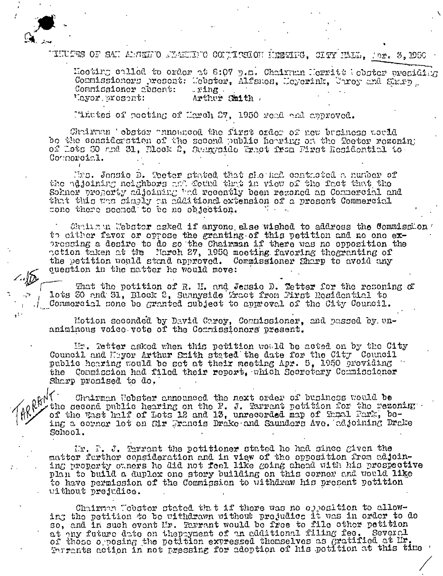

THUTE OF SAN AMERIC MACHING CONTISEON MINING. CITY MAL. Mor. 3. DEC

Hecting colled to order at 6:07 p.m. Chairman Herritt (obster presiding Commissioners resent: Mebster, Alfsmes, Meyerink, Unrey and Sharp Commissioner absent: . ring . Arthur Smith. 'Lyor.prosent:

Pinttes of peeting of March 27, 1950 read and approved.

Chriman 'obster announced the first order of new business usual bo the considerstion of the second public herring on the Teeter rezoning of Lots 60 and 31, Block 2, Sumpraido Fract from First Residential to Commoraial.

Mrs. Jonsie D. Teeter stated that she had contacted a number of the adjoining noighbors and found that in view of the fact that the Sohner property adjoining bud recently been rezoned as Commercial and that this was simply an additional extension of a present Commercial sone there seemed to be no objection.

Chain in Webster asked if anyone else wished to address the Commission to cither favor or oppose the granting of this petition and no one expressing a desire to do so the Chairman if there was no opposition the action taken at the Narch 27, 1950 meeting favoring thegranting of the petition would stand approved. Commissioner Sharp to avoid any question in the matter he would move:

That the petition of R. H. and Jessie D. Tetter for the resoning of lots 30 and 31, Block 2, Summyside fract from First Residential to Commercial sone be granted subject to approval of the City Council.

Motion seconded by David Carey, Commissioner, and passed by. unaniminous voice vote of the Commissioners present.

In. Tetter asked when this petition would be acted on by the City Council and Mayor Arthur Smith stated the date for the City Council public hearing would be set at their meeting Apr. 5, 1950 providing the Commission had filed their report, which Secretary Commissioner Sharp promised to do.

RRENT Chairman Nebster announced the next order of business would be the second public hearing on the P. J. Tarrant petition for the rezoning of the Wast half of Lots 12 and 13, unrecorded map of Tamal Park, being a corner lot on Sir Francis Drake and Saunders Ave. adjoining Drake School.

Mr. P. J. Errant the potitioner stated he had since given the matter further consideration and in view of the opposition from adjoining property ouncrs he did not feel like going chead with his prospective plan to build a duplex one story building on this corner and would like to have permission of the Commission to withdraw his present petition without prejudice.

Chairman Wobstor stated that if there was no opposition to allowing the petition to be withdrawn without prejudice it was in order to do so, and in such event Mr. Tarrant would be free to file other petition at any future date on thepayment of an additional filing fee. Several of those opposing the petition expressed thomselves as gratified at Mr.<br>Terrants action in not pressing for adoption of his petition at this time